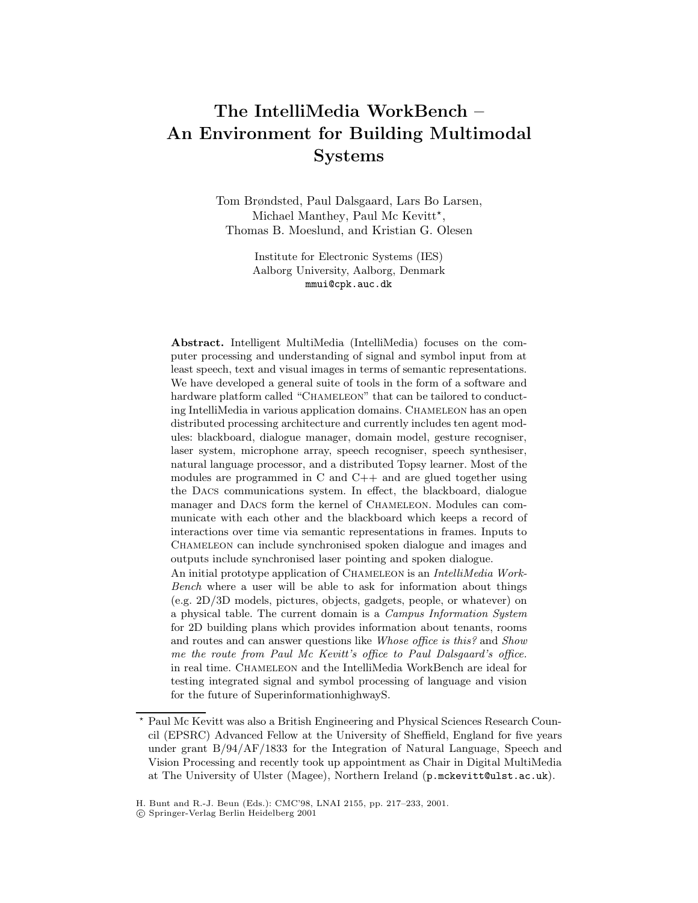# The IntelliMedia WorkBench – An Environment for Building Multimodal Systems

Tom Brøndsted, Paul Dalsgaard, Lars Bo Larsen, Michael Manthey, Paul Mc Kevitt<sup>\*</sup>, Thomas B. Moeslund, and Kristian G. Olesen

> Institute for Electronic Systems (IES) Aalborg University, Aalborg, Denmark mmui@cpk.auc.dk

Abstract. Intelligent MultiMedia (IntelliMedia) focuses on the computer processing and understanding of signal and symbol input from at least speech, text and visual images in terms of semantic representations. We have developed a general suite of tools in the form of a software and hardware platform called "CHAMELEON" that can be tailored to conducting IntelliMedia in various application domains. CHAMELEON has an open distributed processing architecture and currently includes ten agent modules: blackboard, dialogue manager, domain model, gesture recogniser, laser system, microphone array, speech recogniser, speech synthesiser, natural language processor, and a distributed Topsy learner. Most of the modules are programmed in  $C$  and  $C_{++}$  and are glued together using the Dacs communications system. In effect, the blackboard, dialogue manager and DACS form the kernel of CHAMELEON. Modules can communicate with each other and the blackboard which keeps a record of interactions over time via semantic representations in frames. Inputs to Chameleon can include synchronised spoken dialogue and images and outputs include synchronised laser pointing and spoken dialogue.

An initial prototype application of Chameleon is an *IntelliMedia Work-Bench* where a user will be able to ask for information about things (e.g. 2D/3D models, pictures, objects, gadgets, people, or whatever) on a physical table. The current domain is a *Campus Information System* for 2D building plans which provides information about tenants, rooms and routes and can answer questions like *Whose office is this?* and *Show me the route from Paul Mc Kevitt's office to Paul Dalsgaard's office.* in real time. Chameleon and the IntelliMedia WorkBench are ideal for testing integrated signal and symbol processing of language and vision for the future of SuperinformationhighwayS.

Paul Mc Kevitt was also a British Engineering and Physical Sciences Research Council (EPSRC) Advanced Fellow at the University of Sheffield, England for five years under grant B/94/AF/1833 for the Integration of Natural Language, Speech and Vision Processing and recently took up appointment as Chair in Digital MultiMedia at The University of Ulster (Magee), Northern Ireland (p.mckevitt@ulst.ac.uk).

H. Bunt and R.-J. Beun (Eds.): CMC'98, LNAI 2155, pp. 217–233, 2001.

c Springer-Verlag Berlin Heidelberg 2001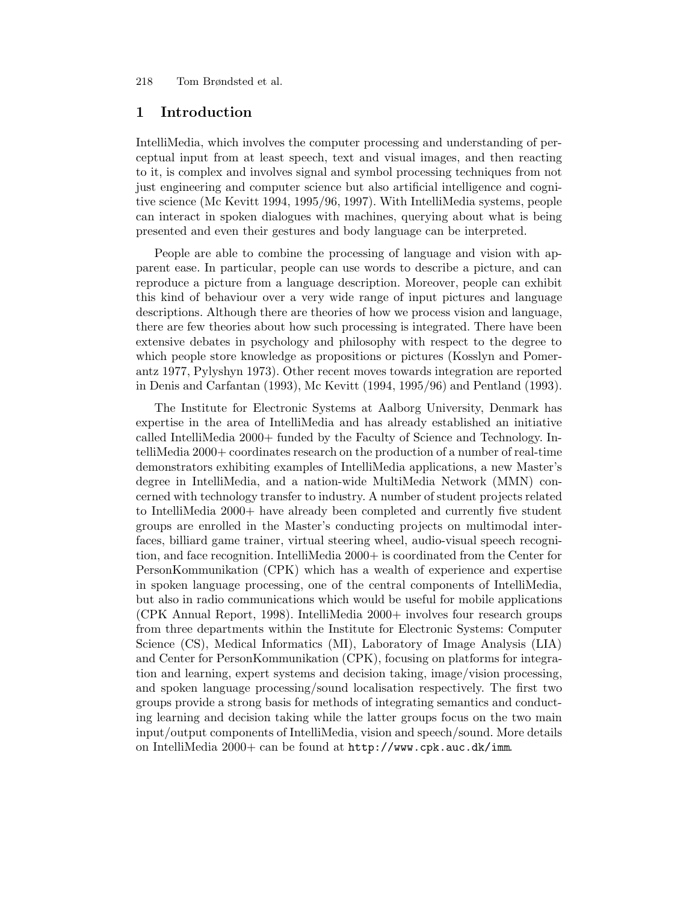## 1 Introduction

IntelliMedia, which involves the computer processing and understanding of perceptual input from at least speech, text and visual images, and then reacting to it, is complex and involves signal and symbol processing techniques from not just engineering and computer science but also artificial intelligence and cognitive science (Mc Kevitt 1994, 1995/96, 1997). With IntelliMedia systems, people can interact in spoken dialogues with machines, querying about what is being presented and even their gestures and body language can be interpreted.

People are able to combine the processing of language and vision with apparent ease. In particular, people can use words to describe a picture, and can reproduce a picture from a language description. Moreover, people can exhibit this kind of behaviour over a very wide range of input pictures and language descriptions. Although there are theories of how we process vision and language, there are few theories about how such processing is integrated. There have been extensive debates in psychology and philosophy with respect to the degree to which people store knowledge as propositions or pictures (Kosslyn and Pomerantz 1977, Pylyshyn 1973). Other recent moves towards integration are reported in Denis and Carfantan (1993), Mc Kevitt (1994, 1995/96) and Pentland (1993).

The Institute for Electronic Systems at Aalborg University, Denmark has expertise in the area of IntelliMedia and has already established an initiative called IntelliMedia 2000+ funded by the Faculty of Science and Technology. IntelliMedia 2000+ coordinates research on the production of a number of real-time demonstrators exhibiting examples of IntelliMedia applications, a new Master's degree in IntelliMedia, and a nation-wide MultiMedia Network (MMN) concerned with technology transfer to industry. A number of student projects related to IntelliMedia 2000+ have already been completed and currently five student groups are enrolled in the Master's conducting projects on multimodal interfaces, billiard game trainer, virtual steering wheel, audio-visual speech recognition, and face recognition. IntelliMedia 2000+ is coordinated from the Center for PersonKommunikation (CPK) which has a wealth of experience and expertise in spoken language processing, one of the central components of IntelliMedia, but also in radio communications which would be useful for mobile applications (CPK Annual Report, 1998). IntelliMedia 2000+ involves four research groups from three departments within the Institute for Electronic Systems: Computer Science (CS), Medical Informatics (MI), Laboratory of Image Analysis (LIA) and Center for PersonKommunikation (CPK), focusing on platforms for integration and learning, expert systems and decision taking, image/vision processing, and spoken language processing/sound localisation respectively. The first two groups provide a strong basis for methods of integrating semantics and conducting learning and decision taking while the latter groups focus on the two main input/output components of IntelliMedia, vision and speech/sound. More details on IntelliMedia 2000+ can be found at http://www.cpk.auc.dk/imm.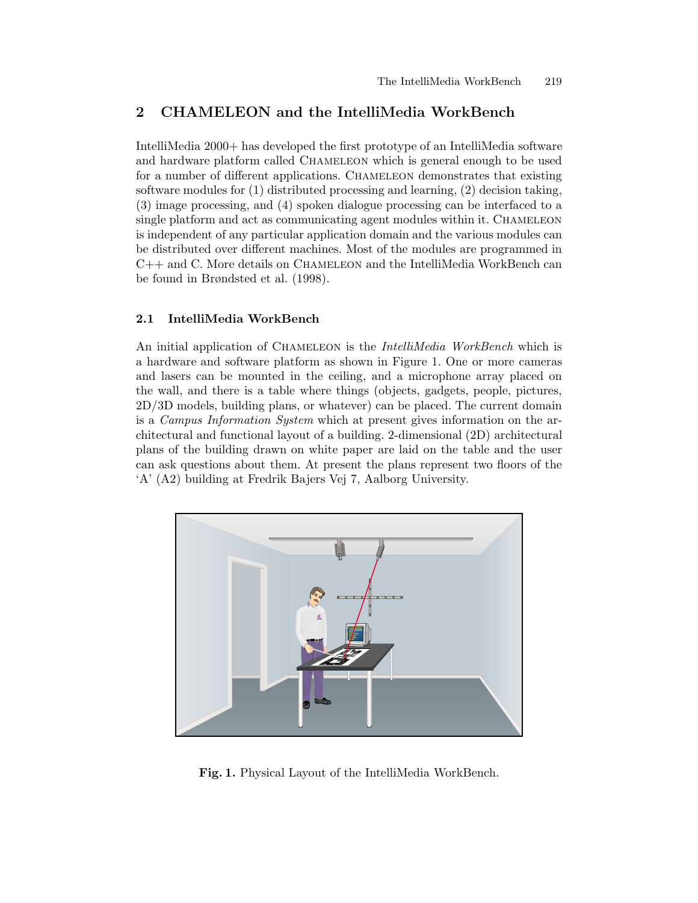# 2 CHAMELEON and the IntelliMedia WorkBench

IntelliMedia 2000+ has developed the first prototype of an IntelliMedia software and hardware platform called CHAMELEON which is general enough to be used for a number of different applications. CHAMELEON demonstrates that existing software modules for (1) distributed processing and learning, (2) decision taking, (3) image processing, and (4) spoken dialogue processing can be interfaced to a single platform and act as communicating agent modules within it. CHAMELEON is independent of any particular application domain and the various modules can be distributed over different machines. Most of the modules are programmed in C++ and C. More details on Chameleon and the IntelliMedia WorkBench can be found in Brøndsted et al. (1998).

#### 2.1 IntelliMedia WorkBench

An initial application of CHAMELEON is the *IntelliMedia WorkBench* which is a hardware and software platform as shown in Figure 1. One or more cameras and lasers can be mounted in the ceiling, and a microphone array placed on the wall, and there is a table where things (objects, gadgets, people, pictures, 2D/3D models, building plans, or whatever) can be placed. The current domain is a Campus Information System which at present gives information on the architectural and functional layout of a building. 2-dimensional (2D) architectural plans of the building drawn on white paper are laid on the table and the user can ask questions about them. At present the plans represent two floors of the 'A' (A2) building at Fredrik Bajers Vej 7, Aalborg University.



Fig. 1. Physical Layout of the IntelliMedia WorkBench.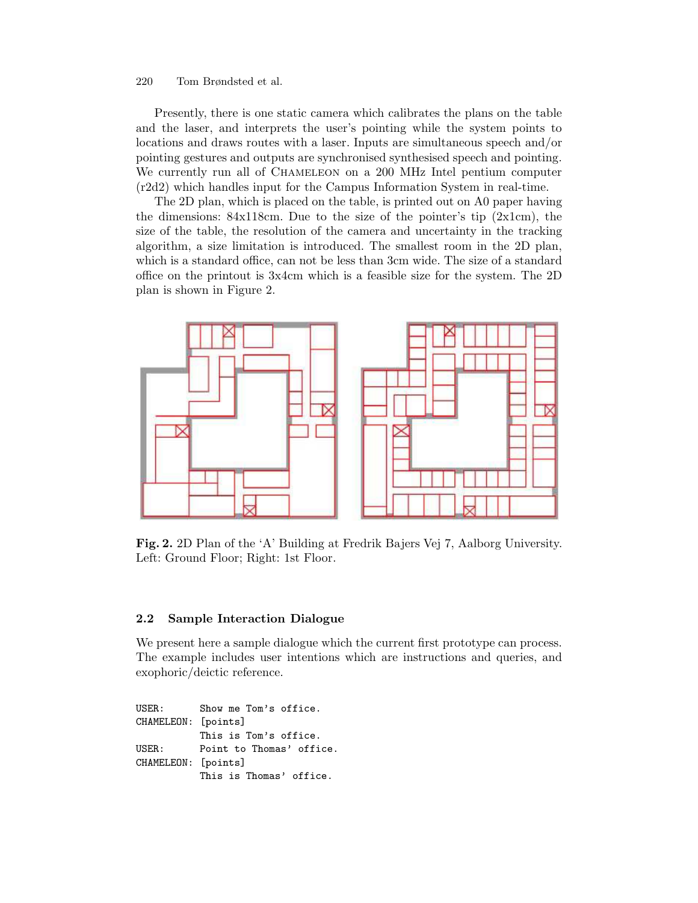Presently, there is one static camera which calibrates the plans on the table and the laser, and interprets the user's pointing while the system points to locations and draws routes with a laser. Inputs are simultaneous speech and/or pointing gestures and outputs are synchronised synthesised speech and pointing. We currently run all of Chameleon on a 200 MHz Intel pentium computer (r2d2) which handles input for the Campus Information System in real-time.

The 2D plan, which is placed on the table, is printed out on A0 paper having the dimensions:  $84x118cm$ . Due to the size of the pointer's tip  $(2x1cm)$ , the size of the table, the resolution of the camera and uncertainty in the tracking algorithm, a size limitation is introduced. The smallest room in the 2D plan, which is a standard office, can not be less than 3cm wide. The size of a standard office on the printout is 3x4cm which is a feasible size for the system. The 2D plan is shown in Figure 2.



Fig. 2. 2D Plan of the 'A' Building at Fredrik Bajers Vej 7, Aalborg University. Left: Ground Floor; Right: 1st Floor.

#### 2.2 Sample Interaction Dialogue

We present here a sample dialogue which the current first prototype can process. The example includes user intentions which are instructions and queries, and exophoric/deictic reference.

USER: Show me Tom's office. CHAMELEON: [points] This is Tom's office. USER: Point to Thomas' office. CHAMELEON: [points] This is Thomas' office.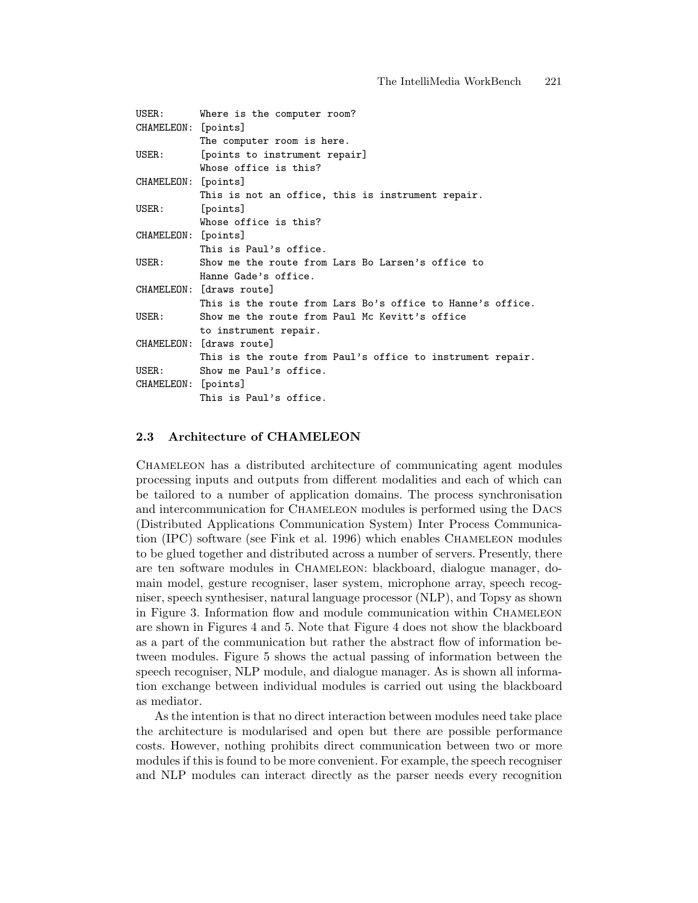| USER:               | Where is the computer room?                                |
|---------------------|------------------------------------------------------------|
| CHAMELEON: [points] |                                                            |
|                     | The computer room is here.                                 |
| USER:               | [points to instrument repair]                              |
|                     | Whose office is this?                                      |
| CHAMELEON: [points] |                                                            |
|                     | This is not an office, this is instrument repair.          |
| USER:               | [points]                                                   |
|                     | Whose office is this?                                      |
| CHAMELEON: [points] |                                                            |
|                     | This is Paul's office.                                     |
| USER:               | Show me the route from Lars Bo Larsen's office to          |
|                     | Hanne Gade's office.                                       |
|                     | CHAMELEON: [draws route]                                   |
|                     | This is the route from Lars Bo's office to Hanne's office. |
| USER:               | Show me the route from Paul Mc Kevitt's office             |
|                     | to instrument repair.                                      |
|                     | CHAMELEON: [draws route]                                   |
|                     | This is the route from Paul's office to instrument repair. |
| USER:               | Show me Paul's office.                                     |
| CHAMELEON: [points] |                                                            |
|                     | This is Paul's office.                                     |

#### 2.3 Architecture of CHAMELEON

Chameleon has a distributed architecture of communicating agent modules processing inputs and outputs from different modalities and each of which can be tailored to a number of application domains. The process synchronisation and intercommunication for Chameleon modules is performed using the Dacs (Distributed Applications Communication System) Inter Process Communication (IPC) software (see Fink et al. 1996) which enables CHAMELEON modules to be glued together and distributed across a number of servers. Presently, there are ten software modules in Chameleon: blackboard, dialogue manager, domain model, gesture recogniser, laser system, microphone array, speech recogniser, speech synthesiser, natural language processor (NLP), and Topsy as shown in Figure 3. Information flow and module communication within Chameleon are shown in Figures 4 and 5. Note that Figure 4 does not show the blackboard as a part of the communication but rather the abstract flow of information between modules. Figure 5 shows the actual passing of information between the speech recogniser, NLP module, and dialogue manager. As is shown all information exchange between individual modules is carried out using the blackboard as mediator.

As the intention is that no direct interaction between modules need take place the architecture is modularised and open but there are possible performance costs. However, nothing prohibits direct communication between two or more modules if this is found to be more convenient. For example, the speech recogniser and NLP modules can interact directly as the parser needs every recognition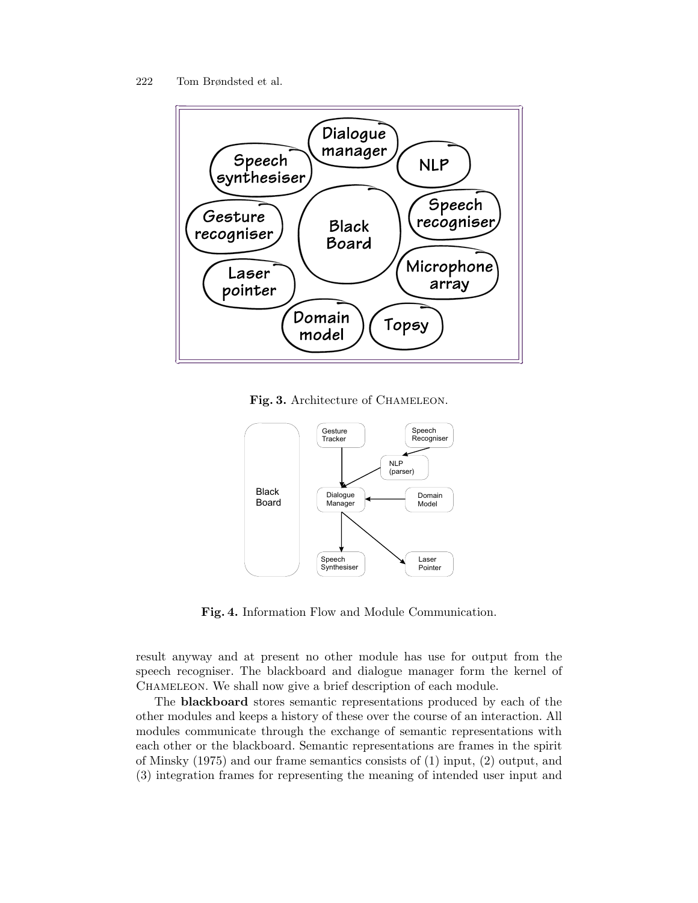

Fig. 3. Architecture of CHAMELEON.



Fig. 4. Information Flow and Module Communication.

result anyway and at present no other module has use for output from the speec<sup>h</sup> recogniser. The blackboard and dialogue manager form the kernel of CHAMELEON. We shall now give a brief description of each module.

The blackboard stores semantic representations produced by each of the other modules and keeps <sup>a</sup> history of these over the course of an interaction. All modules communicate through the exchange of semantic representations with each other or the blackboard. Semantic representations are frames in the spirit of Minsky (1975) and our frame semantics consists of (1) input, (2) output, and (3) integration frames for representing the meaning of intended user input and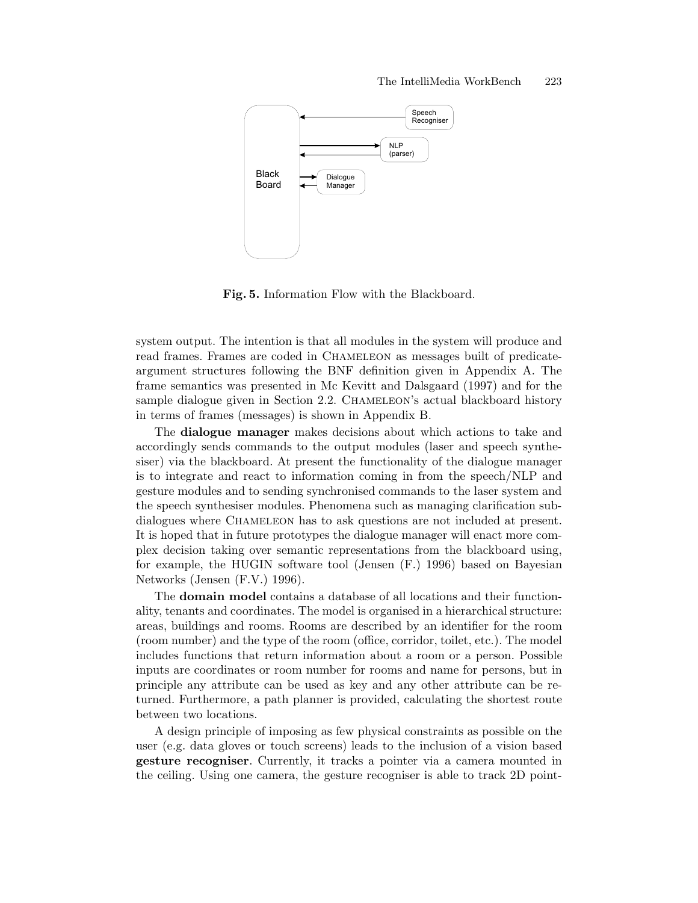

Fig. 5. Information Flow with the Blackboard.

system output. The intention is that all modules in the system will produce and read frames. Frames are coded in CHAMELEON as messages built of predicateargument structures following the BNF definition given in Appendix A. The frame semantics was presented in Mc Kevitt and Dalsgaard (1997) and for the sample dialogue given in Section 2.2. CHAMELEON's actual blackboard history in terms of frames (messages) is shown in Appendix B.

The dialogue manager makes decisions about which actions to take and accordingly sends commands to the output modules (laser and speech synthesiser) via the blackboard. At present the functionality of the dialogue manager is to integrate and react to information coming in from the speech/NLP and gesture modules and to sending synchronised commands to the laser system and the speech synthesiser modules. Phenomena such as managing clarification subdialogues where Chameleon has to ask questions are not included at present. It is hoped that in future prototypes the dialogue manager will enact more complex decision taking over semantic representations from the blackboard using, for example, the HUGIN software tool (Jensen (F.) 1996) based on Bayesian Networks (Jensen (F.V.) 1996).

The domain model contains a database of all locations and their functionality, tenants and coordinates. The model is organised in a hierarchical structure: areas, buildings and rooms. Rooms are described by an identifier for the room (room number) and the type of the room (office, corridor, toilet, etc.). The model includes functions that return information about a room or a person. Possible inputs are coordinates or room number for rooms and name for persons, but in principle any attribute can be used as key and any other attribute can be returned. Furthermore, a path planner is provided, calculating the shortest route between two locations.

A design principle of imposing as few physical constraints as possible on the user (e.g. data gloves or touch screens) leads to the inclusion of a vision based gesture recogniser. Currently, it tracks a pointer via a camera mounted in the ceiling. Using one camera, the gesture recogniser is able to track 2D point-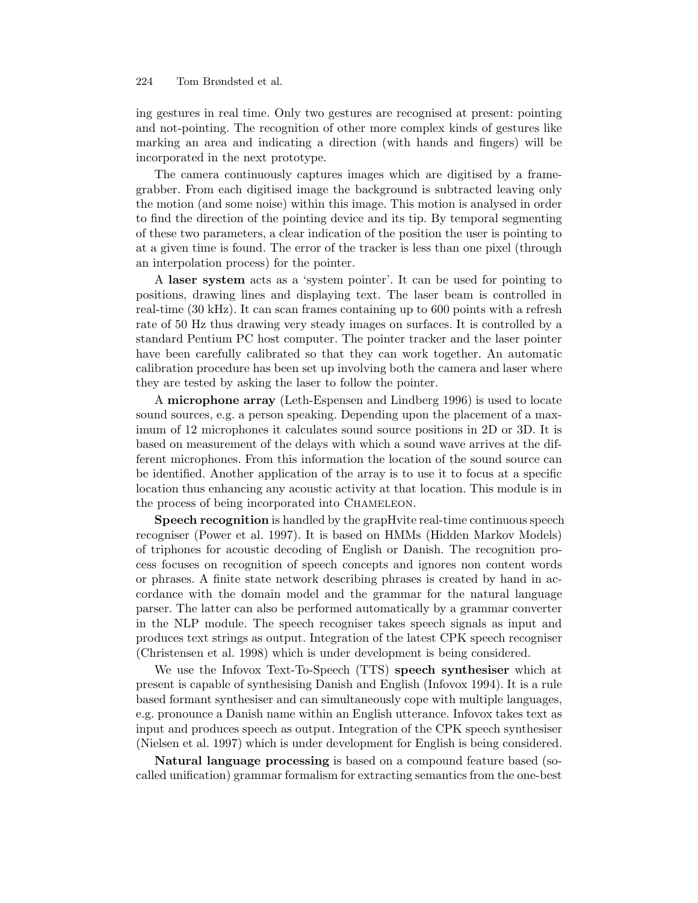ing gestures in real time. Only two gestures are recognised at present: pointing and not-pointing. The recognition of other more complex kinds of gestures like marking an area and indicating a direction (with hands and fingers) will be incorporated in the next prototype.

The camera continuously captures images which are digitised by a framegrabber. From each digitised image the background is subtracted leaving only the motion (and some noise) within this image. This motion is analysed in order to find the direction of the pointing device and its tip. By temporal segmenting of these two parameters, a clear indication of the position the user is pointing to at a given time is found. The error of the tracker is less than one pixel (through an interpolation process) for the pointer.

A laser system acts as a 'system pointer'. It can be used for pointing to positions, drawing lines and displaying text. The laser beam is controlled in real-time (30 kHz). It can scan frames containing up to 600 points with a refresh rate of 50 Hz thus drawing very steady images on surfaces. It is controlled by a standard Pentium PC host computer. The pointer tracker and the laser pointer have been carefully calibrated so that they can work together. An automatic calibration procedure has been set up involving both the camera and laser where they are tested by asking the laser to follow the pointer.

A microphone array (Leth-Espensen and Lindberg 1996) is used to locate sound sources, e.g. a person speaking. Depending upon the placement of a maximum of 12 microphones it calculates sound source positions in 2D or 3D. It is based on measurement of the delays with which a sound wave arrives at the different microphones. From this information the location of the sound source can be identified. Another application of the array is to use it to focus at a specific location thus enhancing any acoustic activity at that location. This module is in the process of being incorporated into CHAMELEON.

Speech recognition is handled by the grapHvite real-time continuous speech recogniser (Power et al. 1997). It is based on HMMs (Hidden Markov Models) of triphones for acoustic decoding of English or Danish. The recognition process focuses on recognition of speech concepts and ignores non content words or phrases. A finite state network describing phrases is created by hand in accordance with the domain model and the grammar for the natural language parser. The latter can also be performed automatically by a grammar converter in the NLP module. The speech recogniser takes speech signals as input and produces text strings as output. Integration of the latest CPK speech recogniser (Christensen et al. 1998) which is under development is being considered.

We use the Infovox Text-To-Speech (TTS) speech synthesiser which at present is capable of synthesising Danish and English (Infovox 1994). It is a rule based formant synthesiser and can simultaneously cope with multiple languages, e.g. pronounce a Danish name within an English utterance. Infovox takes text as input and produces speech as output. Integration of the CPK speech synthesiser (Nielsen et al. 1997) which is under development for English is being considered.

Natural language processing is based on a compound feature based (socalled unification) grammar formalism for extracting semantics from the one-best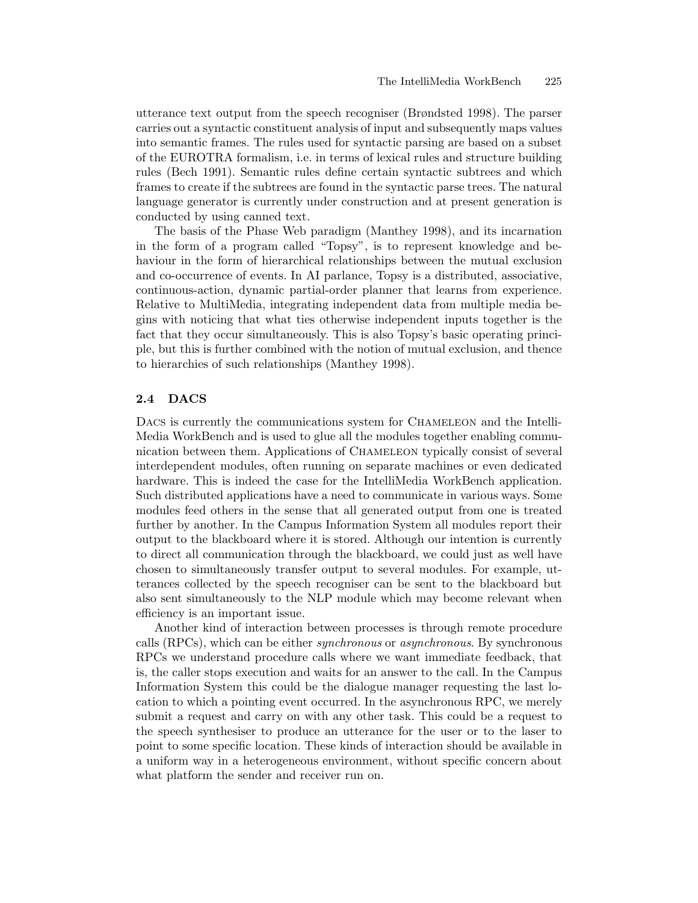utterance text output from the speech recogniser (Brøndsted 1998). The parser carries out a syntactic constituent analysis of input and subsequently maps values into semantic frames. The rules used for syntactic parsing are based on a subset of the EUROTRA formalism, i.e. in terms of lexical rules and structure building rules (Bech 1991). Semantic rules define certain syntactic subtrees and which frames to create if the subtrees are found in the syntactic parse trees. The natural language generator is currently under construction and at present generation is conducted by using canned text.

The basis of the Phase Web paradigm (Manthey 1998), and its incarnation in the form of a program called "Topsy", is to represent knowledge and behaviour in the form of hierarchical relationships between the mutual exclusion and co-occurrence of events. In AI parlance, Topsy is a distributed, associative, continuous-action, dynamic partial-order planner that learns from experience. Relative to MultiMedia, integrating independent data from multiple media begins with noticing that what ties otherwise independent inputs together is the fact that they occur simultaneously. This is also Topsy's basic operating principle, but this is further combined with the notion of mutual exclusion, and thence to hierarchies of such relationships (Manthey 1998).

#### 2.4 DACS

DACS is currently the communications system for CHAMELEON and the Intelli-Media WorkBench and is used to glue all the modules together enabling communication between them. Applications of Chameleon typically consist of several interdependent modules, often running on separate machines or even dedicated hardware. This is indeed the case for the IntelliMedia WorkBench application. Such distributed applications have a need to communicate in various ways. Some modules feed others in the sense that all generated output from one is treated further by another. In the Campus Information System all modules report their output to the blackboard where it is stored. Although our intention is currently to direct all communication through the blackboard, we could just as well have chosen to simultaneously transfer output to several modules. For example, utterances collected by the speech recogniser can be sent to the blackboard but also sent simultaneously to the NLP module which may become relevant when efficiency is an important issue.

Another kind of interaction between processes is through remote procedure calls (RPCs), which can be either synchronous or asynchronous. By synchronous RPCs we understand procedure calls where we want immediate feedback, that is, the caller stops execution and waits for an answer to the call. In the Campus Information System this could be the dialogue manager requesting the last location to which a pointing event occurred. In the asynchronous RPC, we merely submit a request and carry on with any other task. This could be a request to the speech synthesiser to produce an utterance for the user or to the laser to point to some specific location. These kinds of interaction should be available in a uniform way in a heterogeneous environment, without specific concern about what platform the sender and receiver run on.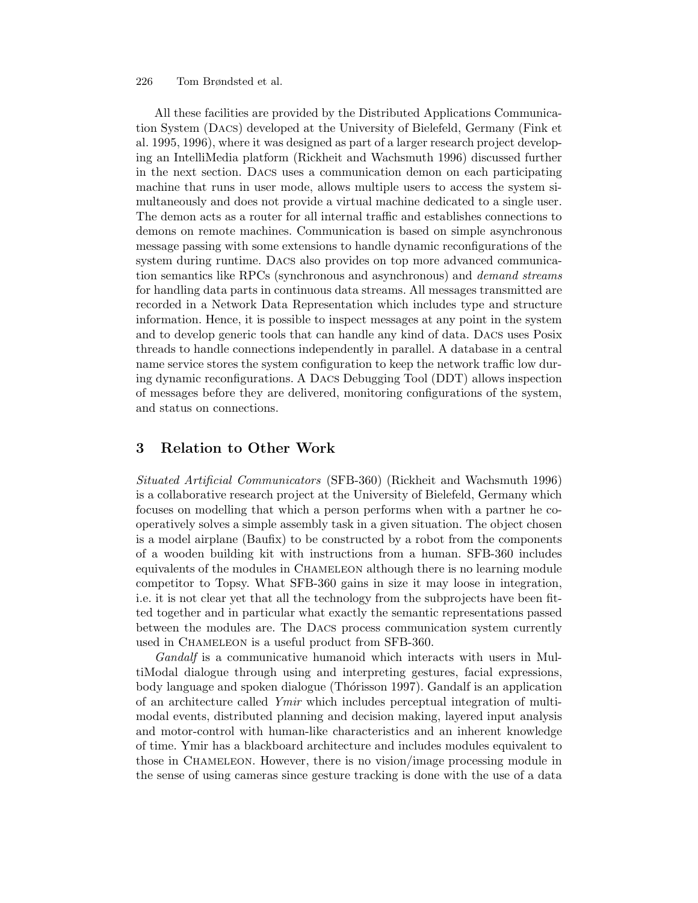All these facilities are provided by the Distributed Applications Communication System (Dacs) developed at the University of Bielefeld, Germany (Fink et al. 1995, 1996), where it was designed as part of a larger research project developing an IntelliMedia platform (Rickheit and Wachsmuth 1996) discussed further in the next section. Dacs uses a communication demon on each participating machine that runs in user mode, allows multiple users to access the system simultaneously and does not provide a virtual machine dedicated to a single user. The demon acts as a router for all internal traffic and establishes connections to demons on remote machines. Communication is based on simple asynchronous message passing with some extensions to handle dynamic reconfigurations of the system during runtime. Dacs also provides on top more advanced communication semantics like RPCs (synchronous and asynchronous) and demand streams for handling data parts in continuous data streams. All messages transmitted are recorded in a Network Data Representation which includes type and structure information. Hence, it is possible to inspect messages at any point in the system and to develop generic tools that can handle any kind of data. Dacs uses Posix threads to handle connections independently in parallel. A database in a central name service stores the system configuration to keep the network traffic low during dynamic reconfigurations. A Dacs Debugging Tool (DDT) allows inspection of messages before they are delivered, monitoring configurations of the system, and status on connections.

### 3 Relation to Other Work

Situated Artificial Communicators (SFB-360) (Rickheit and Wachsmuth 1996) is a collaborative research project at the University of Bielefeld, Germany which focuses on modelling that which a person performs when with a partner he cooperatively solves a simple assembly task in a given situation. The object chosen is a model airplane (Baufix) to be constructed by a robot from the components of a wooden building kit with instructions from a human. SFB-360 includes equivalents of the modules in CHAMELEON although there is no learning module competitor to Topsy. What SFB-360 gains in size it may loose in integration, i.e. it is not clear yet that all the technology from the subprojects have been fitted together and in particular what exactly the semantic representations passed between the modules are. The Dacs process communication system currently used in Chameleon is a useful product from SFB-360.

Gandalf is a communicative humanoid which interacts with users in MultiModal dialogue through using and interpreting gestures, facial expressions, body language and spoken dialogue (Thórisson 1997). Gandalf is an application of an architecture called Ymir which includes perceptual integration of multimodal events, distributed planning and decision making, layered input analysis and motor-control with human-like characteristics and an inherent knowledge of time. Ymir has a blackboard architecture and includes modules equivalent to those in Chameleon. However, there is no vision/image processing module in the sense of using cameras since gesture tracking is done with the use of a data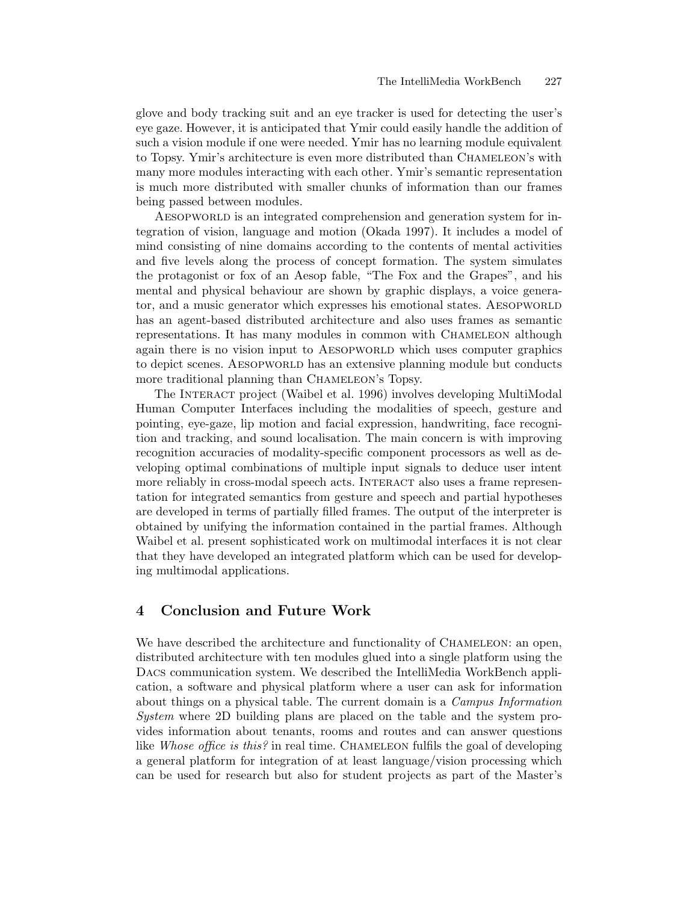glove and body tracking suit and an eye tracker is used for detecting the user's eye gaze. However, it is anticipated that Ymir could easily handle the addition of such a vision module if one were needed. Ymir has no learning module equivalent to Topsy. Ymir's architecture is even more distributed than Chameleon's with many more modules interacting with each other. Ymir's semantic representation is much more distributed with smaller chunks of information than our frames being passed between modules.

Aesopworld is an integrated comprehension and generation system for integration of vision, language and motion (Okada 1997). It includes a model of mind consisting of nine domains according to the contents of mental activities and five levels along the process of concept formation. The system simulates the protagonist or fox of an Aesop fable, "The Fox and the Grapes", and his mental and physical behaviour are shown by graphic displays, a voice generator, and a music generator which expresses his emotional states. AESOPWORLD has an agent-based distributed architecture and also uses frames as semantic representations. It has many modules in common with Chameleon although again there is no vision input to AESOPWORLD which uses computer graphics to depict scenes. Aesopworld has an extensive planning module but conducts more traditional planning than CHAMELEON's Topsy.

The Interact project (Waibel et al. 1996) involves developing MultiModal Human Computer Interfaces including the modalities of speech, gesture and pointing, eye-gaze, lip motion and facial expression, handwriting, face recognition and tracking, and sound localisation. The main concern is with improving recognition accuracies of modality-specific component processors as well as developing optimal combinations of multiple input signals to deduce user intent more reliably in cross-modal speech acts. INTERACT also uses a frame representation for integrated semantics from gesture and speech and partial hypotheses are developed in terms of partially filled frames. The output of the interpreter is obtained by unifying the information contained in the partial frames. Although Waibel et al. present sophisticated work on multimodal interfaces it is not clear that they have developed an integrated platform which can be used for developing multimodal applications.

## 4 Conclusion and Future Work

We have described the architecture and functionality of CHAMELEON: an open, distributed architecture with ten modules glued into a single platform using the Dacs communication system. We described the IntelliMedia WorkBench application, a software and physical platform where a user can ask for information about things on a physical table. The current domain is a Campus Information System where 2D building plans are placed on the table and the system provides information about tenants, rooms and routes and can answer questions like Whose office is this? in real time. CHAMELEON fulfils the goal of developing a general platform for integration of at least language/vision processing which can be used for research but also for student projects as part of the Master's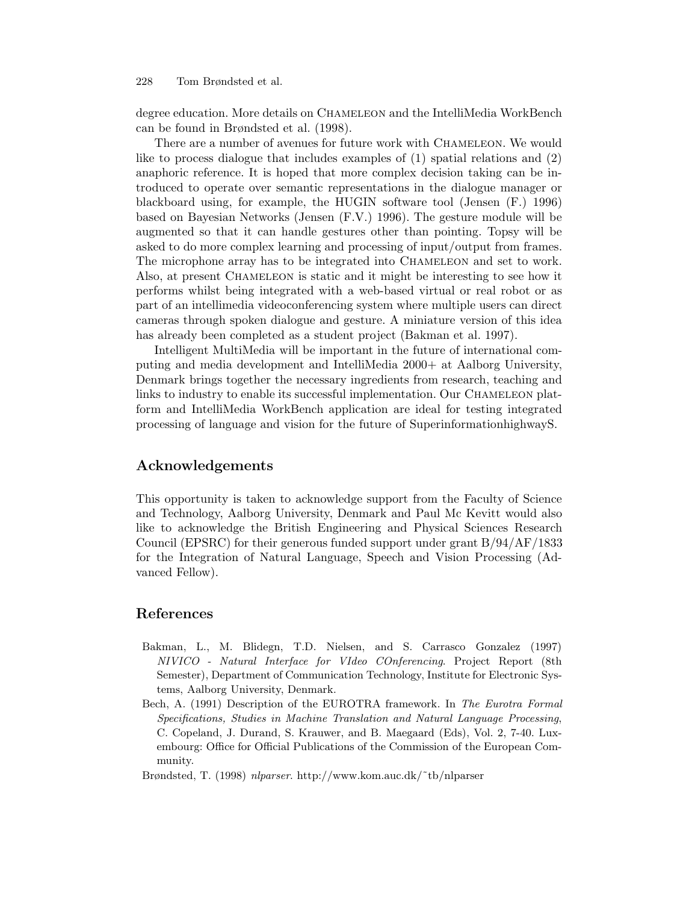degree education. More details on Chameleon and the IntelliMedia WorkBench can be found in Brøndsted et al. (1998).

There are a number of avenues for future work with Chameleon. We would like to process dialogue that includes examples of (1) spatial relations and (2) anaphoric reference. It is hoped that more complex decision taking can be introduced to operate over semantic representations in the dialogue manager or blackboard using, for example, the HUGIN software tool (Jensen (F.) 1996) based on Bayesian Networks (Jensen (F.V.) 1996). The gesture module will be augmented so that it can handle gestures other than pointing. Topsy will be asked to do more complex learning and processing of input/output from frames. The microphone array has to be integrated into CHAMELEON and set to work. Also, at present Chameleon is static and it might be interesting to see how it performs whilst being integrated with a web-based virtual or real robot or as part of an intellimedia videoconferencing system where multiple users can direct cameras through spoken dialogue and gesture. A miniature version of this idea has already been completed as a student project (Bakman et al. 1997).

Intelligent MultiMedia will be important in the future of international computing and media development and IntelliMedia 2000+ at Aalborg University, Denmark brings together the necessary ingredients from research, teaching and links to industry to enable its successful implementation. Our CHAMELEON platform and IntelliMedia WorkBench application are ideal for testing integrated processing of language and vision for the future of SuperinformationhighwayS.

#### Acknowledgements

This opportunity is taken to acknowledge support from the Faculty of Science and Technology, Aalborg University, Denmark and Paul Mc Kevitt would also like to acknowledge the British Engineering and Physical Sciences Research Council (EPSRC) for their generous funded support under grant B/94/AF/1833 for the Integration of Natural Language, Speech and Vision Processing (Advanced Fellow).

## References

- Bakman, L., M. Blidegn, T.D. Nielsen, and S. Carrasco Gonzalez (1997) *NIVICO - Natural Interface for VIdeo COnferencing*. Project Report (8th Semester), Department of Communication Technology, Institute for Electronic Systems, Aalborg University, Denmark.
- Bech, A. (1991) Description of the EUROTRA framework. In *The Eurotra Formal Specifications, Studies in Machine Translation and Natural Language Processing*, C. Copeland, J. Durand, S. Krauwer, and B. Maegaard (Eds), Vol. 2, 7-40. Luxembourg: Office for Official Publications of the Commission of the European Community.

Brøndsted, T. (1998) *nlparser*. http://www.kom.auc.dk/˜tb/nlparser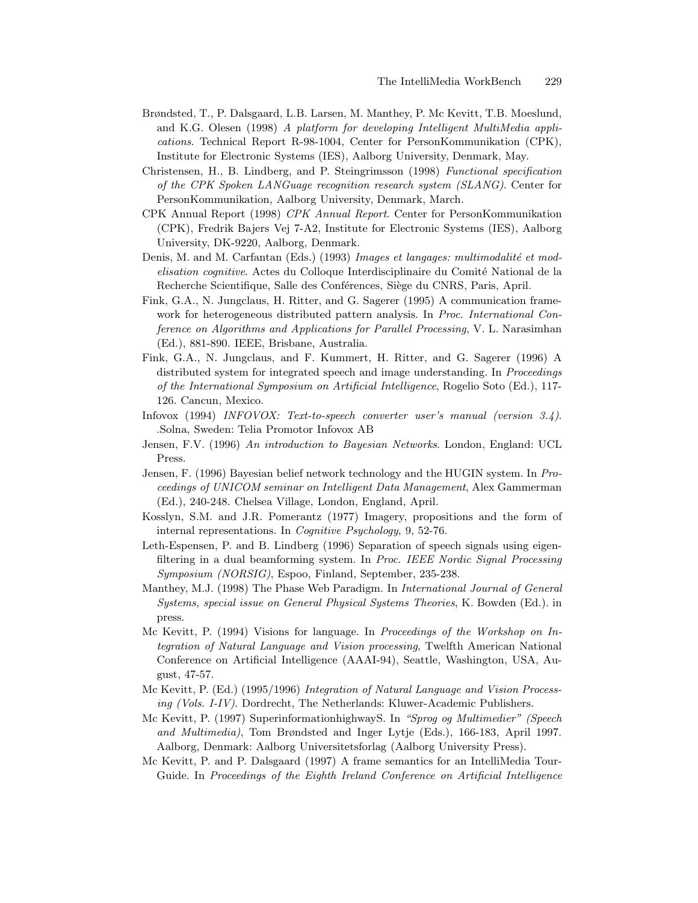- Brøndsted, T., P. Dalsgaard, L.B. Larsen, M. Manthey, P. Mc Kevitt, T.B. Moeslund, and K.G. Olesen (1998) *A platform for developing Intelligent MultiMedia applications*. Technical Report R-98-1004, Center for PersonKommunikation (CPK), Institute for Electronic Systems (IES), Aalborg University, Denmark, May.
- Christensen, H., B. Lindberg, and P. Steingrimsson (1998) *Functional specification of the CPK Spoken LANGuage recognition research system (SLANG)*. Center for PersonKommunikation, Aalborg University, Denmark, March.
- CPK Annual Report (1998) *CPK Annual Report*. Center for PersonKommunikation (CPK), Fredrik Bajers Vej 7-A2, Institute for Electronic Systems (IES), Aalborg University, DK-9220, Aalborg, Denmark.
- Denis, M. and M. Carfantan (Eds.) (1993) *Images et langages: multimodalité et modelisation cognitive*. Actes du Colloque Interdisciplinaire du Comité National de la Recherche Scientifique, Salle des Conférences, Siège du CNRS, Paris, April.
- Fink, G.A., N. Jungclaus, H. Ritter, and G. Sagerer (1995) A communication framework for heterogeneous distributed pattern analysis. In *Proc. International Conference on Algorithms and Applications for Parallel Processing*, V. L. Narasimhan (Ed.), 881-890. IEEE, Brisbane, Australia.
- Fink, G.A., N. Jungclaus, and F. Kummert, H. Ritter, and G. Sagerer (1996) A distributed system for integrated speech and image understanding. In *Proceedings of the International Symposium on Artificial Intelligence*, Rogelio Soto (Ed.), 117- 126. Cancun, Mexico.
- Infovox (1994) *INFOVOX: Text-to-speech converter user's manual (version 3.4)*. .Solna, Sweden: Telia Promotor Infovox AB
- Jensen, F.V. (1996) *An introduction to Bayesian Networks*. London, England: UCL Press.
- Jensen, F. (1996) Bayesian belief network technology and the HUGIN system. In *Proceedings of UNICOM seminar on Intelligent Data Management*, Alex Gammerman (Ed.), 240-248. Chelsea Village, London, England, April.
- Kosslyn, S.M. and J.R. Pomerantz (1977) Imagery, propositions and the form of internal representations. In *Cognitive Psychology*, 9, 52-76.
- Leth-Espensen, P. and B. Lindberg (1996) Separation of speech signals using eigenfiltering in a dual beamforming system. In *Proc. IEEE Nordic Signal Processing Symposium (NORSIG)*, Espoo, Finland, September, 235-238.
- Manthey, M.J. (1998) The Phase Web Paradigm. In *International Journal of General Systems, special issue on General Physical Systems Theories*, K. Bowden (Ed.). in press.
- Mc Kevitt, P. (1994) Visions for language. In *Proceedings of the Workshop on Integration of Natural Language and Vision processing*, Twelfth American National Conference on Artificial Intelligence (AAAI-94), Seattle, Washington, USA, August, 47-57.
- Mc Kevitt, P. (Ed.) (1995/1996) *Integration of Natural Language and Vision Processing (Vols. I-IV)*. Dordrecht, The Netherlands: Kluwer-Academic Publishers.
- Mc Kevitt, P. (1997) SuperinformationhighwayS. In *"Sprog og Multimedier" (Speech and Multimedia)*, Tom Brøndsted and Inger Lytje (Eds.), 166-183, April 1997. Aalborg, Denmark: Aalborg Universitetsforlag (Aalborg University Press).
- Mc Kevitt, P. and P. Dalsgaard (1997) A frame semantics for an IntelliMedia Tour-Guide. In *Proceedings of the Eighth Ireland Conference on Artificial Intelligence*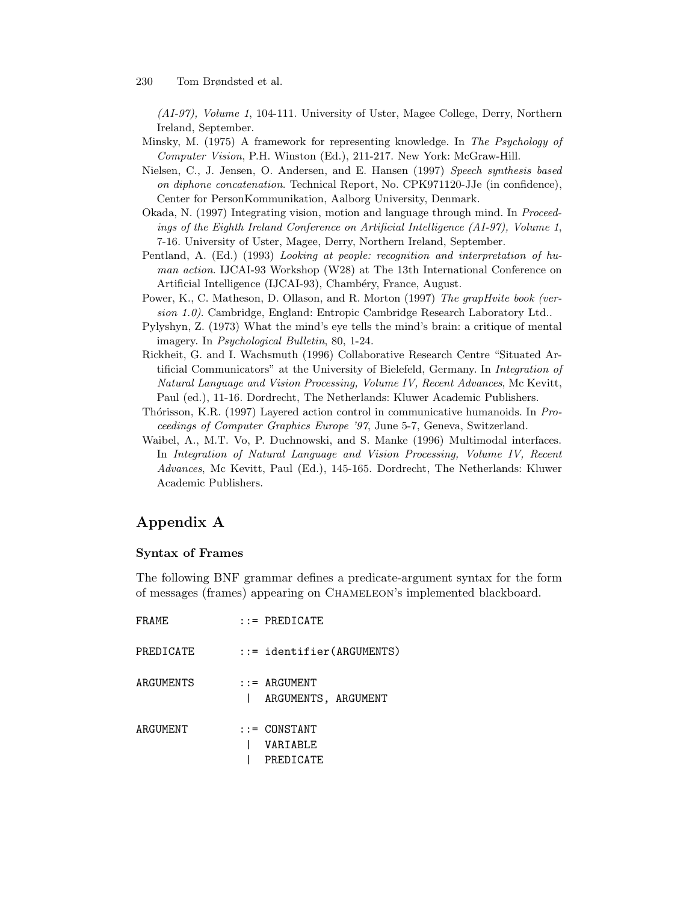*(AI-97), Volume 1*, 104-111. University of Uster, Magee College, Derry, Northern Ireland, September.

- Minsky, M. (1975) A framework for representing knowledge. In *The Psychology of Computer Vision*, P.H. Winston (Ed.), 211-217. New York: McGraw-Hill.
- Nielsen, C., J. Jensen, O. Andersen, and E. Hansen (1997) *Speech synthesis based on diphone concatenation*. Technical Report, No. CPK971120-JJe (in confidence), Center for PersonKommunikation, Aalborg University, Denmark.
- Okada, N. (1997) Integrating vision, motion and language through mind. In *Proceedings of the Eighth Ireland Conference on Artificial Intelligence (AI-97), Volume 1*, 7-16. University of Uster, Magee, Derry, Northern Ireland, September.
- Pentland, A. (Ed.) (1993) *Looking at people: recognition and interpretation of human action*. IJCAI-93 Workshop (W28) at The 13th International Conference on Artificial Intelligence (IJCAI-93), Chambéry, France, August.
- Power, K., C. Matheson, D. Ollason, and R. Morton (1997) *The grapHvite book (version 1.0)*. Cambridge, England: Entropic Cambridge Research Laboratory Ltd..
- Pylyshyn, Z. (1973) What the mind's eye tells the mind's brain: a critique of mental imagery. In *Psychological Bulletin*, 80, 1-24.
- Rickheit, G. and I. Wachsmuth (1996) Collaborative Research Centre "Situated Artificial Communicators" at the University of Bielefeld, Germany. In *Integration of Natural Language and Vision Processing, Volume IV, Recent Advances*, Mc Kevitt, Paul (ed.), 11-16. Dordrecht, The Netherlands: Kluwer Academic Publishers.
- Thórisson, K.R. (1997) Layered action control in communicative humanoids. In *Proceedings of Computer Graphics Europe '97*, June 5-7, Geneva, Switzerland.
- Waibel, A., M.T. Vo, P. Duchnowski, and S. Manke (1996) Multimodal interfaces. In *Integration of Natural Language and Vision Processing, Volume IV, Recent Advances*, Mc Kevitt, Paul (Ed.), 145-165. Dordrecht, The Netherlands: Kluwer Academic Publishers.

# Appendix A

#### Syntax of Frames

The following BNF grammar defines a predicate-argument syntax for the form of messages (frames) appearing on Chameleon's implemented blackboard.

| FRAME.    | $: :=$ PREDICATE                        |
|-----------|-----------------------------------------|
| PREDICATE | ::= identifier(ARGUMENTS)               |
| ARGUMENTS | $: :=$ ARGUMENT<br>ARGUMENTS, ARGUMENT  |
| ARGUMENT  | $:=-$ CONSTANT<br>VARIABLE<br>PREDICATE |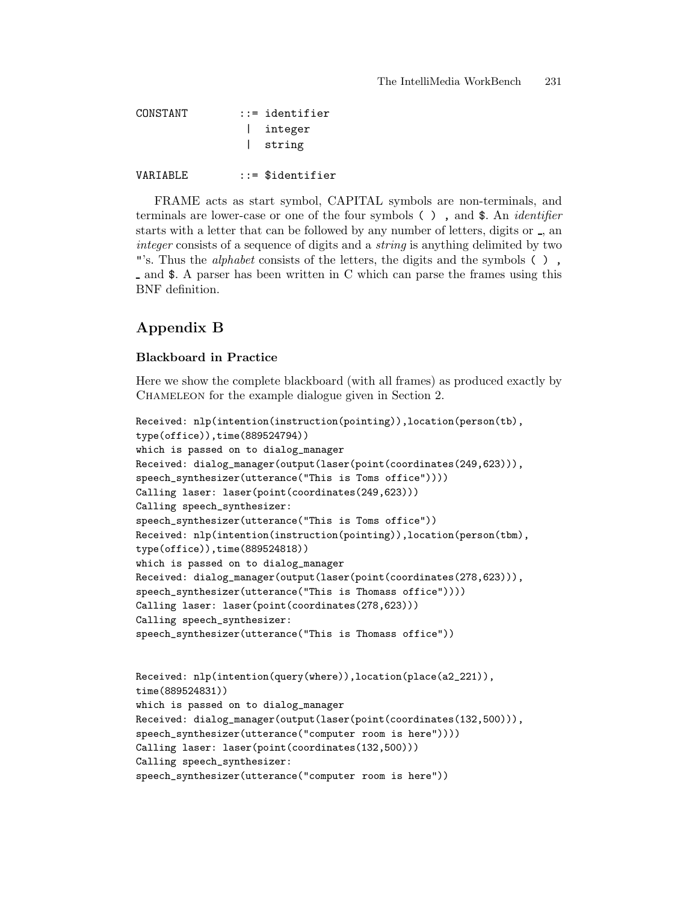| CONSTANT | $: :=$ identifier  |
|----------|--------------------|
|          | integer            |
|          | string             |
| VARIABLE | $::=$ \$identifier |

FRAME acts as start symbol, CAPITAL symbols are non-terminals, and terminals are lower-case or one of the four symbols ( ) , and \$. An identifier starts with a letter that can be followed by any number of letters, digits or  $\Box$ , an integer consists of a sequence of digits and a string is anything delimited by two "'s. Thus the alphabet consists of the letters, the digits and the symbols ( ) , and \$. A parser has been written in C which can parse the frames using this BNF definition.

# Appendix B

#### Blackboard in Practice

Here we show the complete blackboard (with all frames) as produced exactly by CHAMELEON for the example dialogue given in Section 2.

```
Received: nlp(intention(instruction(pointing)),location(person(tb),
type(office)),time(889524794))
which is passed on to dialog_manager
Received: dialog_manager(output(laser(point(coordinates(249,623))),
speech_synthesizer(utterance("This is Toms office"))))
Calling laser: laser(point(coordinates(249,623)))
Calling speech_synthesizer:
speech_synthesizer(utterance("This is Toms office"))
Received: nlp(intention(instruction(pointing)),location(person(tbm),
type(office)),time(889524818))
which is passed on to dialog_manager
Received: dialog_manager(output(laser(point(coordinates(278,623))),
speech_synthesizer(utterance("This is Thomass office"))))
Calling laser: laser(point(coordinates(278,623)))
Calling speech_synthesizer:
speech_synthesizer(utterance("This is Thomass office"))
```

```
Received: nlp(intention(query(where)),location(place(a2_221)),
time(889524831))
which is passed on to dialog_manager
Received: dialog_manager(output(laser(point(coordinates(132,500))),
speech_synthesizer(utterance("computer room is here"))))
Calling laser: laser(point(coordinates(132,500)))
Calling speech_synthesizer:
speech_synthesizer(utterance("computer room is here"))
```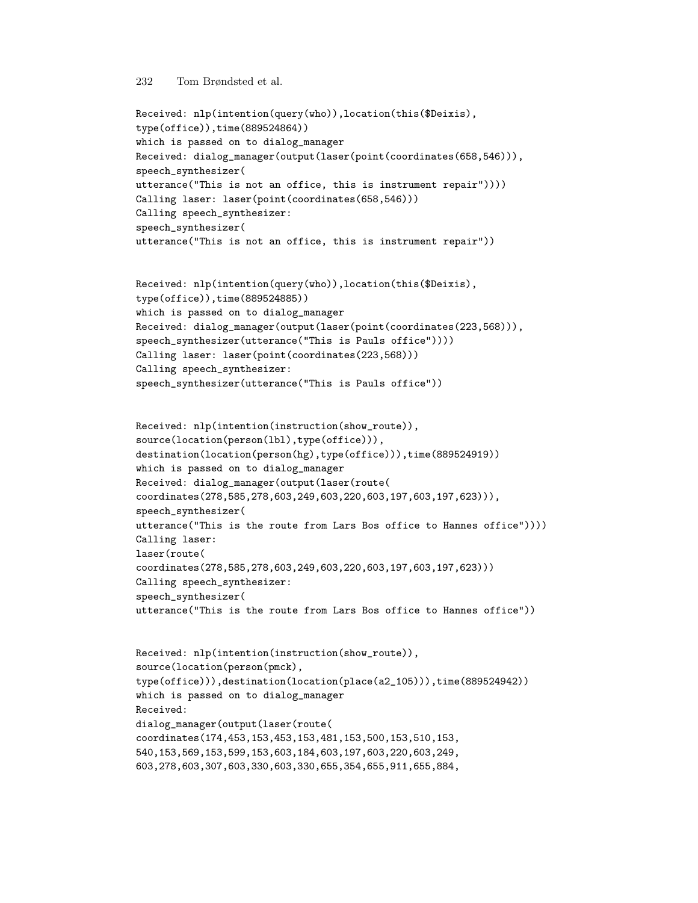```
Received: nlp(intention(query(who)),location(this($Deixis),
type(office)),time(889524864))
which is passed on to dialog_manager
Received: dialog_manager(output(laser(point(coordinates(658,546))),
speech_synthesizer(
utterance("This is not an office, this is instrument repair"))))
Calling laser: laser(point(coordinates(658,546)))
Calling speech_synthesizer:
speech_synthesizer(
utterance("This is not an office, this is instrument repair"))
```

```
Received: nlp(intention(query(who)),location(this($Deixis),
type(office)),time(889524885))
which is passed on to dialog_manager
Received: dialog_manager(output(laser(point(coordinates(223,568))),
speech_synthesizer(utterance("This is Pauls office"))))
Calling laser: laser(point(coordinates(223,568)))
Calling speech_synthesizer:
speech_synthesizer(utterance("This is Pauls office"))
```

```
Received: nlp(intention(instruction(show_route)),
source(location(person(lbl),type(office))),
destination(location(person(hg),type(office))),time(889524919))
which is passed on to dialog_manager
Received: dialog_manager(output(laser(route(
coordinates(278,585,278,603,249,603,220,603,197,603,197,623))),
speech_synthesizer(
utterance("This is the route from Lars Bos office to Hannes office"))))
Calling laser:
laser(route(
coordinates(278,585,278,603,249,603,220,603,197,603,197,623)))
Calling speech_synthesizer:
speech_synthesizer(
utterance("This is the route from Lars Bos office to Hannes office"))
```

```
Received: nlp(intention(instruction(show_route)),
source(location(person(pmck),
type(office))),destination(location(place(a2_105))),time(889524942))
which is passed on to dialog_manager
Received:
dialog_manager(output(laser(route(
coordinates(174,453,153,453,153,481,153,500,153,510,153,
540,153,569,153,599,153,603,184,603,197,603,220,603,249,
603,278,603,307,603,330,603,330,655,354,655,911,655,884,
```